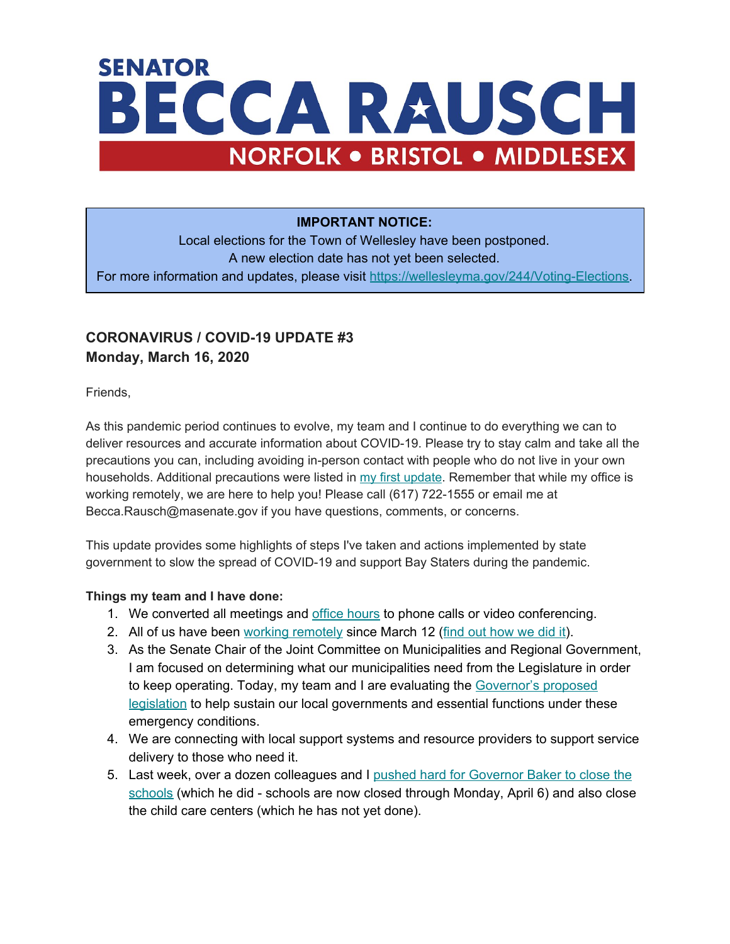# **SENATOR** BECCA RAUSCH **NORFOLK . BRISTOL . MIDDLESEX**

#### **IMPORTANT NOTICE:**

Local elections for the Town of Wellesley have been postponed. A new election date has not yet been selected. For more information and updates, please visit [https://wellesleyma.gov/244/Voting-Elections.](https://wellesleyma.gov/244/Voting-Elections)

## **CORONAVIRUS / COVID-19 UPDATE #3 Monday, March 16, 2020**

Friends,

As this pandemic period continues to evolve, my team and I continue to do everything we can to deliver resources and accurate information about COVID-19. Please try to stay calm and take all the precautions you can, including avoiding in-person contact with people who do not live in your own households. Additional precautions were listed in [my first update](https://www.beccarauschma.com/covid19). Remember that while my office is working remotely, we are here to help you! Please call (617) 722-1555 or email me at Becca.Rausch@masenate.gov if you have questions, comments, or concerns.

This update provides some highlights of steps I've taken and actions implemented by state government to slow the spread of COVID-19 and support Bay Staters during the pandemic.

#### **Things my team and I have done:**

- 1. We c[o](http://www.beccarauschma.com/office-hours)nverted all meetings and office [hours](http://www.beccarauschma.com/office-hours) to phone calls or video conferencing.
- 2. All of us have been [w](https://www.facebook.com/beccarauschMA/posts/529189724404147)orking [remotely](https://www.facebook.com/beccarauschMA/posts/529189724404147) since March 12 (find out [how](https://www.beccarauschma.com/demystifying-the-state-house) we did it).
- 3. As the Senate Chair of the Joint Committee on Municipalities and Regional Government, I am focused on determining what our municipalities need from the Legislature in order to keep operating. Today, my team and I are evaluating the [Governor's](https://malegislature.gov/Bills/191/H4572) proposed [legislation](https://malegislature.gov/Bills/191/H4572) to help sustain our local governments and essential functions under these emergency conditions.
- 4. We are connecting with local support systems and resource providers to support service delivery to those who need it.
- 5. Last week, over a dozen colleagues and I [p](https://www.facebook.com/beccarauschMA/posts/529822537674199)ushed hard for [Governor](https://www.facebook.com/beccarauschMA/posts/529822537674199) Baker to close the [schools](https://www.facebook.com/beccarauschMA/posts/529822537674199) (which he did - schools are now closed through Monday, April 6) and also close the child care centers (which he has not yet done).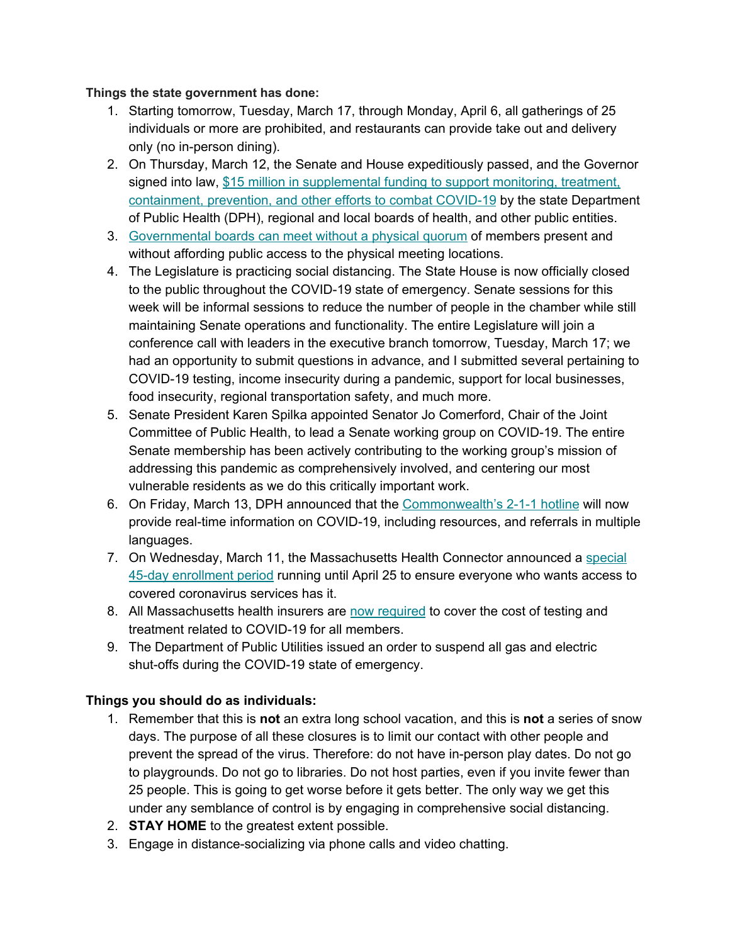#### **Things the state government has done:**

- 1. Starting tomorrow, Tuesday, March 17, through Monday, April 6, all gatherings of 25 individuals or more are prohibited, and restaurants can provide take out and delivery only (no in-person dining).
- 2. On Thursday, March 12, the Senate and House expeditiously passed, and the Governor signed into law, [\\$](https://www.wbur.org/news/2020/03/12/massachusetts-coronavirus-aid-package-supplemental-budget?fbclid=IwAR1ZBKkmrWxLb3bmsDWSKg3yXa8LcIc5BeIYcLMu6eInOaBlaT1gPY2d6Yk)15 million in [supplemental](https://www.wbur.org/news/2020/03/12/massachusetts-coronavirus-aid-package-supplemental-budget?fbclid=IwAR1ZBKkmrWxLb3bmsDWSKg3yXa8LcIc5BeIYcLMu6eInOaBlaT1gPY2d6Yk) funding to support monitoring, treatment, [containment,](https://www.wbur.org/news/2020/03/12/massachusetts-coronavirus-aid-package-supplemental-budget?fbclid=IwAR1ZBKkmrWxLb3bmsDWSKg3yXa8LcIc5BeIYcLMu6eInOaBlaT1gPY2d6Yk) prevention, and other efforts to combat COVID-19 by the state Department of Public Health (DPH), regional and local boards of health, and other public entities.
- 3. [Governmental](https://www.wbur.org/news/2020/03/13/public-meetings-emergency-order-massachusetts-coronavirus) boards can meet without a physical quorum of members present and without affording public access to the physical meeting locations.
- 4. The Legislature is practicing social distancing. The State House is now officially closed to the public throughout the COVID-19 state of emergency. Senate sessions for this week will be informal sessions to reduce the number of people in the chamber while still maintaining Senate operations and functionality. The entire Legislature will join a conference call with leaders in the executive branch tomorrow, Tuesday, March 17; we had an opportunity to submit questions in advance, and I submitted several pertaining to COVID-19 testing, income insecurity during a pandemic, support for local businesses, food insecurity, regional transportation safety, and much more.
- 5. Senate President Karen Spilka appointed Senator Jo Comerford, Chair of the Joint Committee of Public Health, to lead a Senate working group on COVID-19. The entire Senate membership has been actively contributing to the working group's mission of addressing this pandemic as comprehensively involved, and centering our most vulnerable residents as we do this critically important work.
- 6. On Friday, March 13, DPH announc[e](https://www.mass.gov/news/state-health-officials-announce-launch-of-2-1-1-to-provide-covid-19-information-and-referrals)d that the [Commonwealth's](https://www.mass.gov/news/state-health-officials-announce-launch-of-2-1-1-to-provide-covid-19-information-and-referrals) 2-1-1 hotline will now provide real-time information on COVID-19, including resources, and referrals in multiple languages.
- 7. On Wednesday, March 11, the Massachusetts Health Connector announced a [special](https://www.mahealthconnector.org/massachusetts-health-connector-offers-extended-enrollment-for-uninsured-individuals-to-ease-coronavirus-fears) 45-day [enrollment](https://www.mahealthconnector.org/massachusetts-health-connector-offers-extended-enrollment-for-uninsured-individuals-to-ease-coronavirus-fears) period running until April 25 to ensure everyone who wants access to covered coronavirus services has it.
- 8. All Massachusetts health insurers are [n](https://www.mass.gov/doc/bulletin-2020-02-addressing-covid-19-coronavirus-testing-and-treatment-issued-362020/download)ow [required](https://www.mass.gov/doc/bulletin-2020-02-addressing-covid-19-coronavirus-testing-and-treatment-issued-362020/download) to cover the cost of testing and treatment related to COVID-19 for all members.
- 9. The Department of Public Utilities issued an order to suspend all gas and electric shut-offs during the COVID-19 state of emergency.

#### **Things you should do as individuals:**

- 1. Remember that this is **not** an extra long school vacation, and this is **not** a series of snow days. The purpose of all these closures is to limit our contact with other people and prevent the spread of the virus. Therefore: do not have in-person play dates. Do not go to playgrounds. Do not go to libraries. Do not host parties, even if you invite fewer than 25 people. This is going to get worse before it gets better. The only way we get this under any semblance of control is by engaging in comprehensive social distancing.
- 2. **STAY HOME** to the greatest extent possible.
- 3. Engage in distance-socializing via phone calls and video chatting.